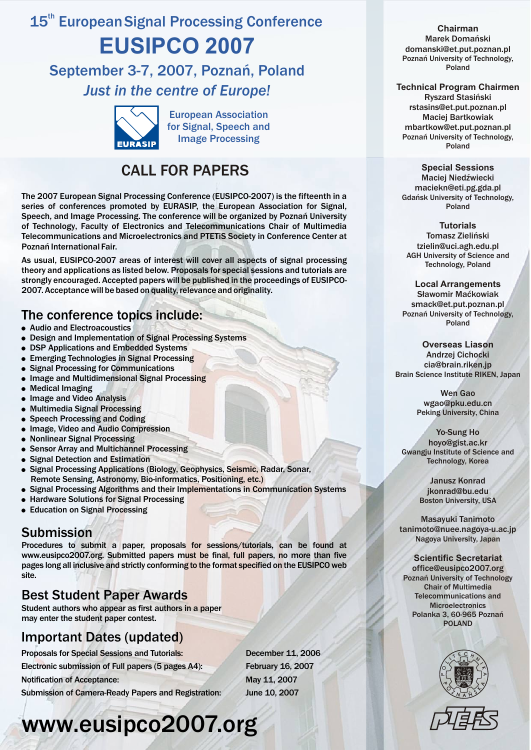## 15<sup>th</sup> European Signal Processing Conference **EUSIPCO 2007**

### September 3-7, 2007, Poznañ, Poland *Just in the centre of Europe!*



European Association for Signal, Speech and Image Processing

### CALL FOR PAPERS

The 2007 European Signal Processing Conference (EUSIPCO-2007) is the fifteenth in a series of conferences promoted by EURASIP, the European Association for Signal, Speech, and Image Processing. The conference will be organized by Poznañ University of Technology, Faculty of Electronics and Telecommunications Chair of Multimedia Telecommunications and Microelectronics and PTETiS Society in Conference Center at Poznañ International Fair.

As usual, EUSIPCO-2007 areas of interest will cover all aspects of signal processing theory and applications as listed below. Proposals for special sessions and tutorials are strongly encouraged. Accepted papers will be published in the proceedings of EUSIPCO-2007. Acceptance will be based on quality, relevance and originality.

### The conference topics include:

- Audio and Electroacoustics
- ! Design and Implementation of Signal Processing Systems
- DSP Applications and Embedded Systems
- Emerging Technologies in Signal Processing
- ! Signal Processing for Communications
- Image and Multidimensional Signal Processing
- Medical Imaging
- Image and Video Analysis
- Multimedia Signal Processing
- Speech Processing and Coding
- Image, Video and Audio Compression
- Nonlinear Signal Processing
- **.** Sensor Array and Multichannel Processing
- Signal Detection and Estimation
- . Signal Processing Applications (Biology, Geophysics, Seismic, Radar, Sonar, Remote Sensing, Astronomy, Bio-informatics, Positioning, etc.)
- ! Signal Processing Algorithms and their Implementations in Communication Systems
- Hardware Solutions for Signal Processing
- Education on Signal Processing

### Submission

Procedures to submit a paper, proposals for sessions/tutorials, can be found at www.eusipco2007.org. Submitted papers must be final, full papers, no more than five pages long all inclusive and strictly conforming to the format specified on the EUSIPCO web site.

### Best Student Paper Awards

Student authors who appear as first authors in a paper may enter the student paper contest.

### Important Dates (updated)

Proposals for Special Sessions and Tutorials: December 11, 2006 Electronic submission of Full papers (5 pages A4): February 16, 2007 Notification of Acceptance: May 11, 2007 Submission of Camera-Ready Papers and Registration: June 10, 2007

# www.eusipco2007.org

#### **Chairman**

Marek Domañski domanski@et.put.poznan.pl Poznañ University of Technology, Poland

#### **Technical Program Chairmen**

Ryszard Stasiñski rstasins@et.put.poznan.pl Maciej Bartkowiak mbartkow@et.put.poznan.pl Poznañ University of Technology, Poland

#### **Special Sessions**

Maciej Niedźwiecki maciekn@eti.pg.gda.pl Gdañsk University of Technology, Poland

#### **Tutorials**

Tomasz Zieliñski tzielin@uci.agh.edu.pl AGH University of Science and Technology, Poland

#### **Local Arrangements**

Sławomir Maćkowiak smack@et.put.poznan.pl Poznañ University of Technology, Poland

#### **Overseas Liason** Andrzej Cichocki cia@brain.riken.jp Brain Science Institute RIKEN, Japan

Wen Gao wgao@pku.edu.cn Peking University, China

Yo-Sung Ho hoyo@gist.ac.kr Gwangju Institute of Science and Technology, Korea

> Janusz Konrad jkonrad@bu.edu Boston University, USA

Masayuki Tanimoto tanimoto@nuee.nagoya-u.ac.jp Nagoya University, Japan

#### **Scientific Secretariat**

office@eusipco2007.org Poznañ University of Technology Chair of Multimedia Telecommunications and **Microelectronics** Polanka 3, 60-965 Poznañ POLAND